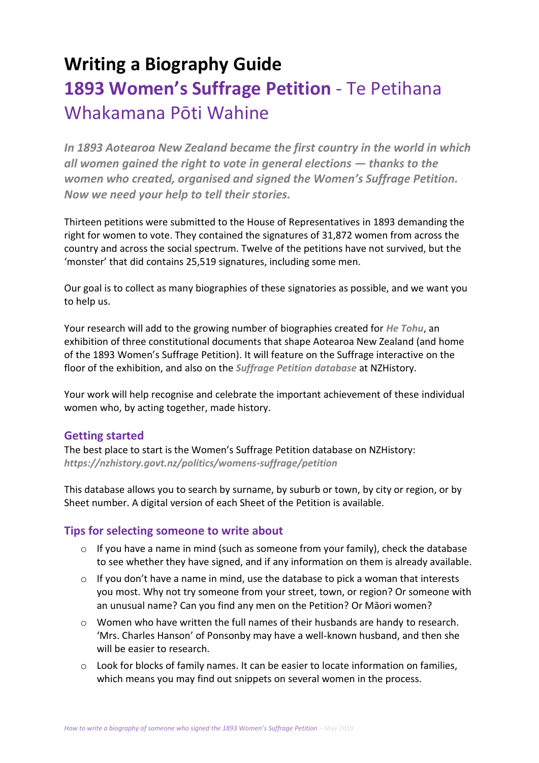# **Writing a Biography Guide 1893 Women's Suffrage Petition** - Te Petihana Whakamana Pōti Wahine

*In 1893 Aotearoa New Zealand became the first country in the world in which all women gained the right to vote in general elections — thanks to the women who created, organised and signed the Women's Suffrage Petition. Now we need your help to tell their stories.*

Thirteen petitions were submitted to the House of Representatives in 1893 demanding the right for women to vote. They contained the signatures of 31,872 women from across the country and across the social spectrum. Twelve of the petitions have not survived, but the 'monster' that did contains 25,519 signatures, including some men.

Our goal is to collect as many biographies of these signatories as possible, and we want you to help us.

Your research will add to the growing number of biographies created for *[He Tohu](https://natlib.govt.nz/he-tohu)*, an exhibition of three constitutional documents that shape Aotearoa New Zealand (and home of the 1893 Women's Suffrage Petition). It will feature on the Suffrage interactive on the floor of the exhibition, and also on the *[Suffrage Petition database](https://nzhistory.govt.nz/politics/womens-suffrage/petition)* at NZHistory.

Your work will help recognise and celebrate the important achievement of these individual women who, by acting together, made history.

### **Getting started**

The best place to start is the Women's Suffrage Petition database on NZHistory: *<https://nzhistory.govt.nz/politics/womens-suffrage/petition>*

This database allows you to search by surname, by suburb or town, by city or region, or by Sheet number. A digital version of each Sheet of the Petition is available.

# **Tips for selecting someone to write about**

- $\circ$  If you have a name in mind (such as someone from your family), check the database to see whether they have signed, and if any information on them is already available.
- o If you don't have a name in mind, use the database to pick a woman that interests you most. Why not try someone from your street, town, or region? Or someone with an unusual name? Can you find any men on the Petition? Or Māori women?
- $\circ$  Women who have written the full names of their husbands are handy to research. 'Mrs. Charles Hanson' of Ponsonby may have a well-known husband, and then she will be easier to research.
- $\circ$  Look for blocks of family names. It can be easier to locate information on families, which means you may find out snippets on several women in the process.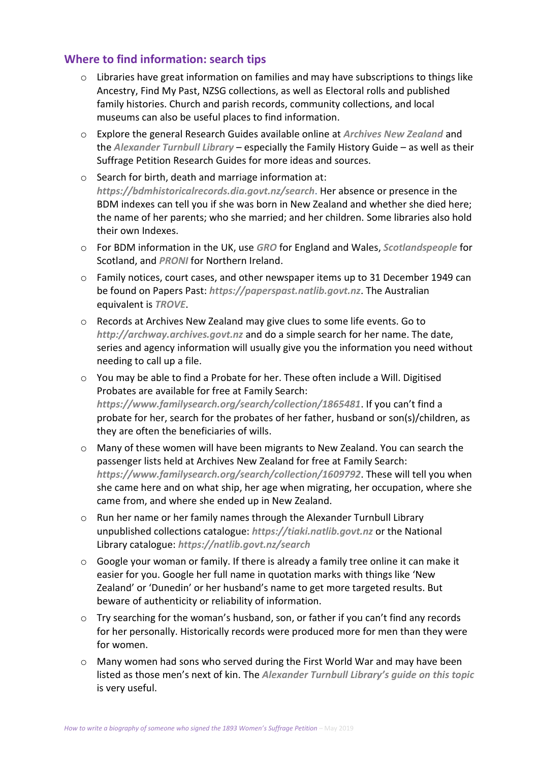# **Where to find information: search tips**

- o Libraries have great information on families and may have subscriptions to things like Ancestry, Find My Past, NZSG collections, as well as Electoral rolls and published family histories. Church and parish records, community collections, and local museums can also be useful places to find information.
- o Explore the general Research Guides available online at *[Archives New Zealand](http://archives.govt.nz/resources/research-resources/research-guides)* and the *[Alexander Turnbull Library](https://natlib.govt.nz/researchers/guides)* – especially the Family History Guide – as well as their Suffrage Petition Research Guides for more ideas and sources.
- o Search for birth, death and marriage information at: *<https://bdmhistoricalrecords.dia.govt.nz/search>*. Her absence or presence in the BDM indexes can tell you if she was born in New Zealand and whether she died here; the name of her parents; who she married; and her children. Some libraries also hold their own Indexes.
- o For BDM information in the UK, use *[GRO](https://www.gro.gov.uk/gro/content/)* for England and Wales, *[Scotlandspeople](https://www.scotlandspeople.gov.uk/)* for Scotland, and *[PRONI](https://www.nidirect.gov.uk/proni)* for Northern Ireland.
- o Family notices, court cases, and other newspaper items up to 31 December 1949 can be found on Papers Past: *[https://paperspast.natlib.govt.nz](https://paperspast.natlib.govt.nz/)*. The Australian equivalent is *[TROVE](https://trove.nla.gov.au/)*.
- o Records at Archives New Zealand may give clues to some life events. Go to *[http://archway.archives.govt.nz](http://archway.archives.govt.nz/)* and do a simple search for her name. The date, series and agency information will usually give you the information you need without needing to call up a file.
- o You may be able to find a Probate for her. These often include a Will. Digitised Probates are available for free at Family Search: *<https://www.familysearch.org/search/collection/1865481>*. If you can't find a probate for her, search for the probates of her father, husband or son(s)/children, as they are often the beneficiaries of wills.
- o Many of these women will have been migrants to New Zealand. You can search the passenger lists held at Archives New Zealand for free at Family Search: *<https://www.familysearch.org/search/collection/1609792>*. These will tell you when she came here and on what ship, her age when migrating, her occupation, where she came from, and where she ended up in New Zealand.
- o Run her name or her family names through the Alexander Turnbull Library unpublished collections catalogue: *[https://tiaki.natlib.govt.nz](https://tiaki.natlib.govt.nz/)* or the National Library catalogue: *<https://natlib.govt.nz/search>*
- $\circ$  Google your woman or family. If there is already a family tree online it can make it easier for you. Google her full name in quotation marks with things like 'New Zealand' or 'Dunedin' or her husband's name to get more targeted results. But beware of authenticity or reliability of information.
- $\circ$  Try searching for the woman's husband, son, or father if you can't find any records for her personally. Historically records were produced more for men than they were for women.
- o Many women had sons who served during the First World War and may have been listed as those men's next of kin. The *[Alexander Turnbull Library's guide on this topic](https://natlib.govt.nz/researchers/guides/family-history#how-do-i-find-information-about-my-ancestor-who-served-in-a-war)* is very useful.